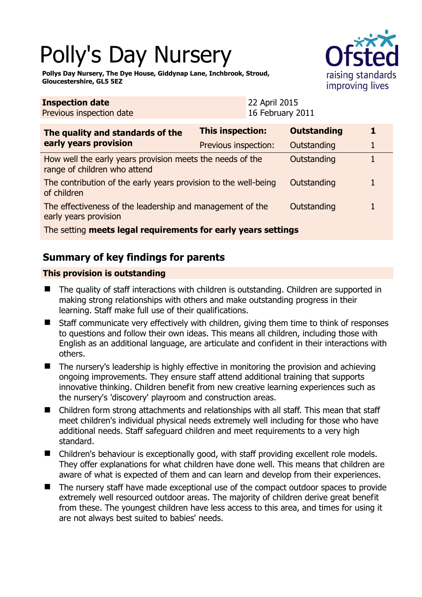# Polly's Day Nursery



**Pollys Day Nursery, The Dye House, Giddynap Lane, Inchbrook, Stroud, Gloucestershire, GL5 5EZ** 

| <b>Inspection date</b><br>Previous inspection date                                        |                      | 22 April 2015<br>16 February 2011 |  |  |
|-------------------------------------------------------------------------------------------|----------------------|-----------------------------------|--|--|
| The quality and standards of the<br>early years provision                                 | This inspection:     | <b>Outstanding</b>                |  |  |
|                                                                                           | Previous inspection: | Outstanding                       |  |  |
| How well the early years provision meets the needs of the<br>range of children who attend |                      | Outstanding                       |  |  |
| The contribution of the early years provision to the well-being<br>of children            |                      | Outstanding                       |  |  |
| The effectiveness of the leadership and management of the<br>early years provision        |                      | Outstanding                       |  |  |
| The setting meets legal requirements for early years settings                             |                      |                                   |  |  |

# **Summary of key findings for parents**

## **This provision is outstanding**

- The quality of staff interactions with children is outstanding. Children are supported in making strong relationships with others and make outstanding progress in their learning. Staff make full use of their qualifications.
- Staff communicate very effectively with children, giving them time to think of responses to questions and follow their own ideas. This means all children, including those with English as an additional language, are articulate and confident in their interactions with others.
- The nursery's leadership is highly effective in monitoring the provision and achieving ongoing improvements. They ensure staff attend additional training that supports innovative thinking. Children benefit from new creative learning experiences such as the nursery's 'discovery' playroom and construction areas.
- Children form strong attachments and relationships with all staff. This mean that staff meet children's individual physical needs extremely well including for those who have additional needs. Staff safeguard children and meet requirements to a very high standard.
- Children's behaviour is exceptionally good, with staff providing excellent role models. They offer explanations for what children have done well. This means that children are aware of what is expected of them and can learn and develop from their experiences.
- The nursery staff have made exceptional use of the compact outdoor spaces to provide extremely well resourced outdoor areas. The majority of children derive great benefit from these. The youngest children have less access to this area, and times for using it are not always best suited to babies' needs.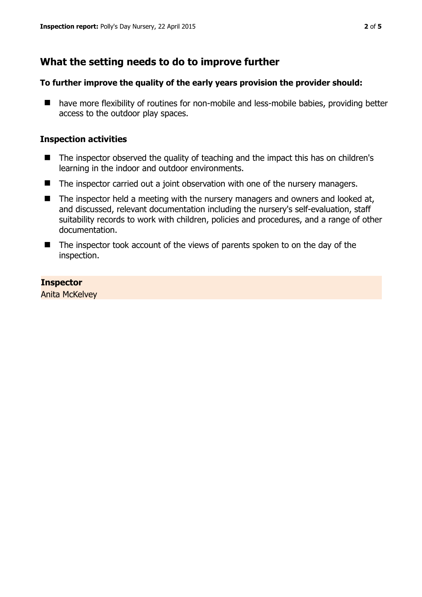## **What the setting needs to do to improve further**

#### **To further improve the quality of the early years provision the provider should:**

■ have more flexibility of routines for non-mobile and less-mobile babies, providing better access to the outdoor play spaces.

#### **Inspection activities**

- The inspector observed the quality of teaching and the impact this has on children's learning in the indoor and outdoor environments.
- The inspector carried out a joint observation with one of the nursery managers.
- $\blacksquare$  The inspector held a meeting with the nursery managers and owners and looked at, and discussed, relevant documentation including the nursery's self-evaluation, staff suitability records to work with children, policies and procedures, and a range of other documentation.
- The inspector took account of the views of parents spoken to on the day of the inspection.

#### **Inspector**

Anita McKelvey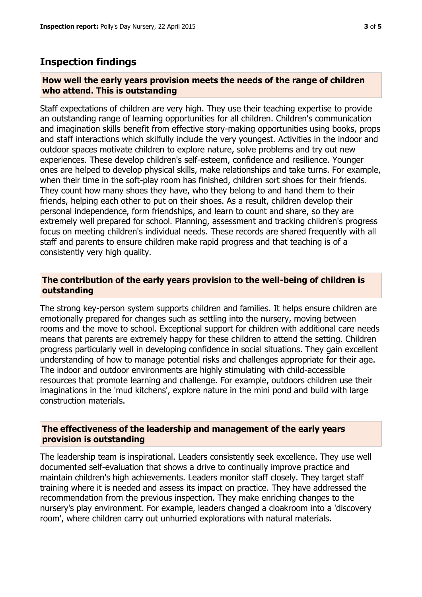## **Inspection findings**

#### **How well the early years provision meets the needs of the range of children who attend. This is outstanding**

Staff expectations of children are very high. They use their teaching expertise to provide an outstanding range of learning opportunities for all children. Children's communication and imagination skills benefit from effective story-making opportunities using books, props and staff interactions which skilfully include the very youngest. Activities in the indoor and outdoor spaces motivate children to explore nature, solve problems and try out new experiences. These develop children's self-esteem, confidence and resilience. Younger ones are helped to develop physical skills, make relationships and take turns. For example, when their time in the soft-play room has finished, children sort shoes for their friends. They count how many shoes they have, who they belong to and hand them to their friends, helping each other to put on their shoes. As a result, children develop their personal independence, form friendships, and learn to count and share, so they are extremely well prepared for school. Planning, assessment and tracking children's progress focus on meeting children's individual needs. These records are shared frequently with all staff and parents to ensure children make rapid progress and that teaching is of a consistently very high quality.

#### **The contribution of the early years provision to the well-being of children is outstanding**

The strong key-person system supports children and families. It helps ensure children are emotionally prepared for changes such as settling into the nursery, moving between rooms and the move to school. Exceptional support for children with additional care needs means that parents are extremely happy for these children to attend the setting. Children progress particularly well in developing confidence in social situations. They gain excellent understanding of how to manage potential risks and challenges appropriate for their age. The indoor and outdoor environments are highly stimulating with child-accessible resources that promote learning and challenge. For example, outdoors children use their imaginations in the 'mud kitchens', explore nature in the mini pond and build with large construction materials.

#### **The effectiveness of the leadership and management of the early years provision is outstanding**

The leadership team is inspirational. Leaders consistently seek excellence. They use well documented self-evaluation that shows a drive to continually improve practice and maintain children's high achievements. Leaders monitor staff closely. They target staff training where it is needed and assess its impact on practice. They have addressed the recommendation from the previous inspection. They make enriching changes to the nursery's play environment. For example, leaders changed a cloakroom into a 'discovery room', where children carry out unhurried explorations with natural materials.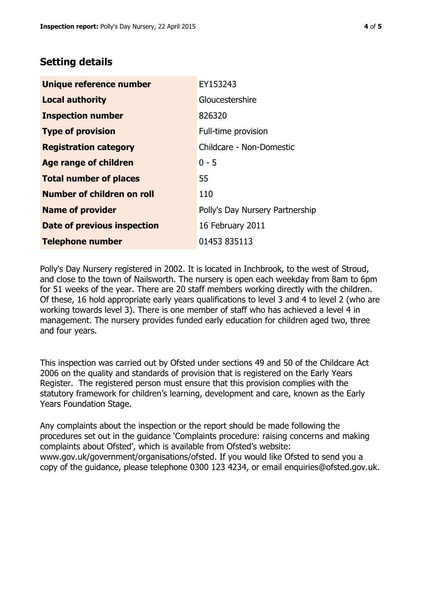## **Setting details**

| Unique reference number       | EY153243                        |  |
|-------------------------------|---------------------------------|--|
| <b>Local authority</b>        | Gloucestershire                 |  |
| <b>Inspection number</b>      | 826320                          |  |
| <b>Type of provision</b>      | Full-time provision             |  |
| <b>Registration category</b>  | Childcare - Non-Domestic        |  |
| Age range of children         | $0 - 5$                         |  |
| <b>Total number of places</b> | 55                              |  |
| Number of children on roll    | 110                             |  |
| <b>Name of provider</b>       | Polly's Day Nursery Partnership |  |
| Date of previous inspection   | 16 February 2011                |  |
| <b>Telephone number</b>       | 01453 835113                    |  |

Polly's Day Nursery registered in 2002. It is located in Inchbrook, to the west of Stroud, and close to the town of Nailsworth. The nursery is open each weekday from 8am to 6pm for 51 weeks of the year. There are 20 staff members working directly with the children. Of these, 16 hold appropriate early years qualifications to level 3 and 4 to level 2 (who are working towards level 3). There is one member of staff who has achieved a level 4 in management. The nursery provides funded early education for children aged two, three and four years.

This inspection was carried out by Ofsted under sections 49 and 50 of the Childcare Act 2006 on the quality and standards of provision that is registered on the Early Years Register. The registered person must ensure that this provision complies with the statutory framework for children's learning, development and care, known as the Early Years Foundation Stage.

Any complaints about the inspection or the report should be made following the procedures set out in the guidance 'Complaints procedure: raising concerns and making complaints about Ofsted', which is available from Ofsted's website: www.gov.uk/government/organisations/ofsted. If you would like Ofsted to send you a copy of the guidance, please telephone 0300 123 4234, or email enquiries@ofsted.gov.uk.